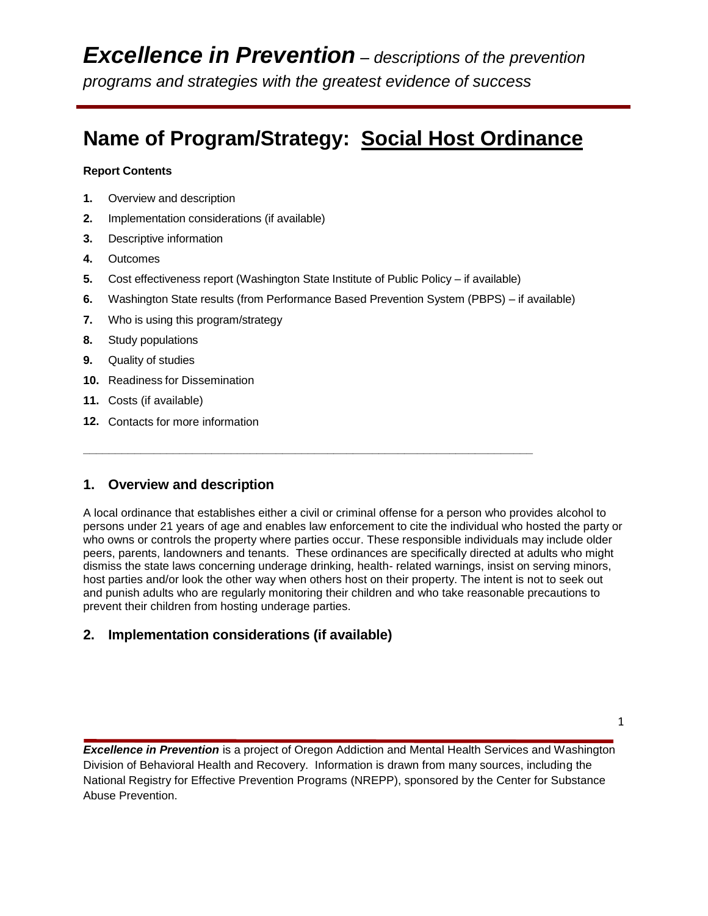# **Name of Program/Strategy: Social Host Ordinance**

#### **Report Contents**

- **1.** Overview and description
- **2.** Implementation considerations (if available)
- **3.** Descriptive information
- **4.** Outcomes
- **5.** Cost effectiveness report (Washington State Institute of Public Policy if available)

**\_\_\_\_\_\_\_\_\_\_\_\_\_\_\_\_\_\_\_\_\_\_\_\_\_\_\_\_\_\_\_\_\_\_\_\_\_\_\_\_\_\_\_\_\_\_\_\_\_\_\_\_\_\_\_\_\_\_\_\_\_\_\_\_\_\_\_\_\_\_**

- **6.** Washington State results (from Performance Based Prevention System (PBPS) if available)
- **7.** Who is using this program/strategy
- **8.** Study populations
- **9.** Quality of studies
- **10.** Readiness for Dissemination
- **11.** Costs (if available)
- **12.** Contacts for more information

## **1. Overview and description**

A local ordinance that establishes either a civil or criminal offense for a person who provides alcohol to persons under 21 years of age and enables law enforcement to cite the individual who hosted the party or who owns or controls the property where parties occur. These responsible individuals may include older peers, parents, landowners and tenants. These ordinances are specifically directed at adults who might dismiss the state laws concerning underage drinking, health- related warnings, insist on serving minors, host parties and/or look the other way when others host on their property. The intent is not to seek out and punish adults who are regularly monitoring their children and who take reasonable precautions to prevent their children from hosting underage parties.

# **2. Implementation considerations (if available)**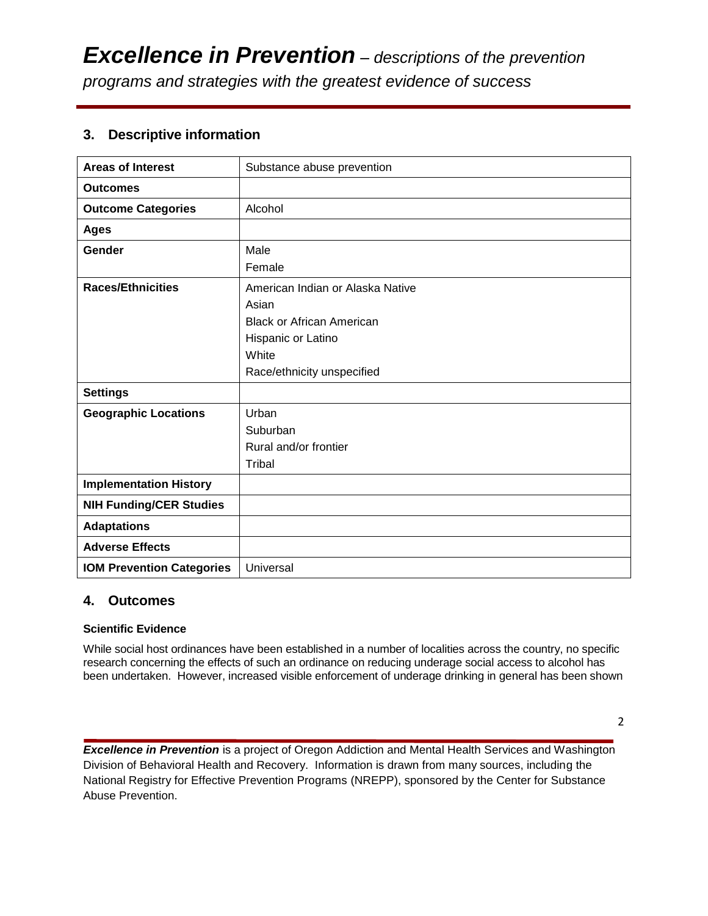# **3. Descriptive information**

| <b>Areas of Interest</b>         | Substance abuse prevention       |
|----------------------------------|----------------------------------|
|                                  |                                  |
| <b>Outcomes</b>                  |                                  |
| <b>Outcome Categories</b>        | Alcohol                          |
| <b>Ages</b>                      |                                  |
| Gender                           | Male                             |
|                                  | Female                           |
| <b>Races/Ethnicities</b>         | American Indian or Alaska Native |
|                                  | Asian                            |
|                                  | <b>Black or African American</b> |
|                                  | Hispanic or Latino               |
|                                  | White                            |
|                                  | Race/ethnicity unspecified       |
| <b>Settings</b>                  |                                  |
| <b>Geographic Locations</b>      | Urban                            |
|                                  | Suburban                         |
|                                  | Rural and/or frontier            |
|                                  | Tribal                           |
| <b>Implementation History</b>    |                                  |
| <b>NIH Funding/CER Studies</b>   |                                  |
| <b>Adaptations</b>               |                                  |
| <b>Adverse Effects</b>           |                                  |
| <b>IOM Prevention Categories</b> | Universal                        |

#### **4. Outcomes**

#### **Scientific Evidence**

While social host ordinances have been established in a number of localities across the country, no specific research concerning the effects of such an ordinance on reducing underage social access to alcohol has been undertaken. However, increased visible enforcement of underage drinking in general has been shown

2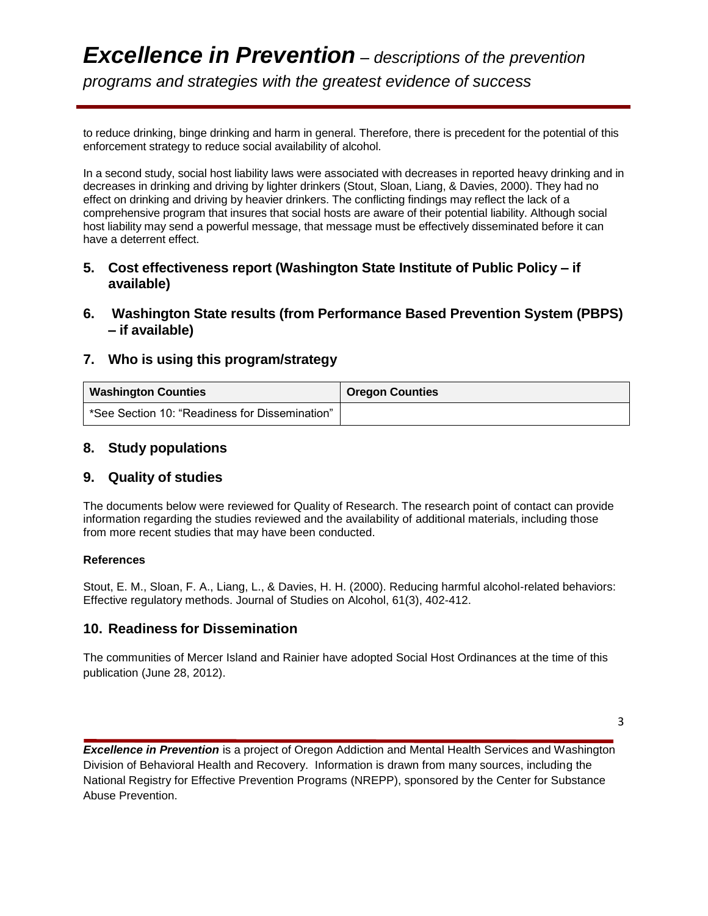to reduce drinking, binge drinking and harm in general. Therefore, there is precedent for the potential of this enforcement strategy to reduce social availability of alcohol.

In a second study, social host liability laws were associated with decreases in reported heavy drinking and in decreases in drinking and driving by lighter drinkers (Stout, Sloan, Liang, & Davies, 2000). They had no effect on drinking and driving by heavier drinkers. The conflicting findings may reflect the lack of a comprehensive program that insures that social hosts are aware of their potential liability. Although social host liability may send a powerful message, that message must be effectively disseminated before it can have a deterrent effect.

- **5. Cost effectiveness report (Washington State Institute of Public Policy – if available)**
- **6. Washington State results (from Performance Based Prevention System (PBPS) – if available)**

## **7. Who is using this program/strategy**

| <b>Washington Counties</b>                     | <b>Oregon Counties</b> |
|------------------------------------------------|------------------------|
| *See Section 10: "Readiness for Dissemination" |                        |

#### **8. Study populations**

#### **9. Quality of studies**

The documents below were reviewed for Quality of Research. The research point of contact can provide information regarding the studies reviewed and the availability of additional materials, including those from more recent studies that may have been conducted.

#### **References**

Stout, E. M., Sloan, F. A., Liang, L., & Davies, H. H. (2000). Reducing harmful alcohol-related behaviors: Effective regulatory methods. Journal of Studies on Alcohol, 61(3), 402-412.

## **10. Readiness for Dissemination**

The communities of Mercer Island and Rainier have adopted Social Host Ordinances at the time of this publication (June 28, 2012).